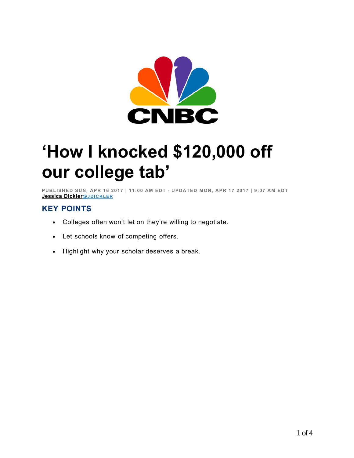

## **'How I knocked \$120,000 off our college tab'**

PUBLISHED SUN, APR 16 2017 | 11:00 AM EDT - UPDATED MON, APR 17 2017 | 9:07 AM EDT **Jessica Dickler@ J DI C K LE R**

## **KEY POINTS**

- Colleges often won't let on they're willing to negotiate.
- Let schools know of competing offers.
- Highlight why your scholar deserves a break.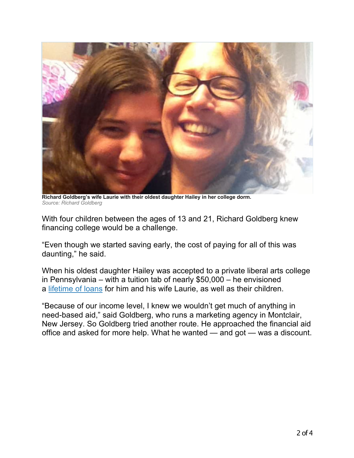

**Richard Goldberg's wife Laurie with their oldest daughter Hailey in her college dorm.** *Source: Richard Goldberg*

With four children between the ages of 13 and 21, Richard Goldberg knew financing college would be a challenge.

"Even though we started saving early, the cost of paying for all of this was daunting," he said.

When his oldest daughter Hailey was accepted to a private liberal arts college in Pennsylvania – with a tuition tab of nearly \$50,000 – he envisioned a lifetime of loans for him and his wife Laurie, as well as their children.

"Because of our income level, I knew we wouldn't get much of anything in need-based aid," said Goldberg, who runs a marketing agency in Montclair, New Jersey. So Goldberg tried another route. He approached the financial aid office and asked for more help. What he wanted — and got — was a discount.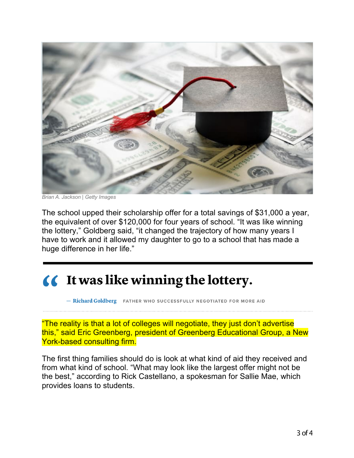

*Brian A. Jackson | Getty Images*

The school upped their scholarship offer for a total savings of \$31,000 a year, the equivalent of over \$120,000 for four years of school. "It was like winning the lottery," Goldberg said, "it changed the trajectory of how many years I have to work and it allowed my daughter to go to a school that has made a huge difference in her life."

## **(6** It was like winning the lottery.

- Richard Goldberg FATHER WHO SUCCESSFULLY NEGOTIATED FOR MORE AID

"The reality is that a lot of colleges will negotiate, they just don't advertise this," said Eric Greenberg, president of Greenberg Educational Group, a New York-based consulting firm.

The first thing families should do is look at what kind of aid they received and from what kind of school. "What may look like the largest offer might not be the best," according to Rick Castellano, a spokesman for Sallie Mae, which provides loans to students.